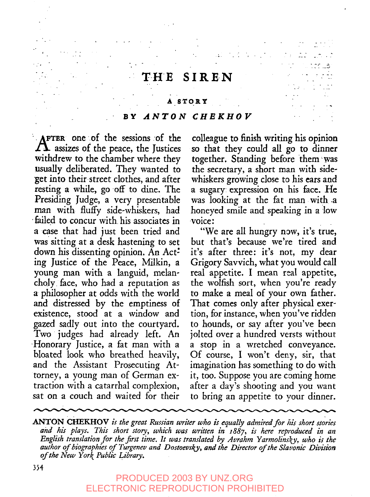# THE SIREN

#### A STORY

#### BY *ANTON CHEKHOV*

AFTER one of the sessions of the  $\Lambda$  assizes of the peace, the Justices withdrew to the chamber where they usually deliberated. They wanted to get into their street clothes, and after resting a while, go off to dine. The Presiding Judge, a very presentable man with. fluffy side-whiskers, had "failed to concur with. his associates in a case that had just been tried and was sitting at a desk hastening to set down his dissenting opinion. An Act-' ing Justice of the Peace, Milkin, a young man with a languid, melancholy, face, who had a reputation as a philosopher at odds with the world and distressed by the emptiness of existence, stood at a window and gazed sadly out into the courtyard. Two judges had already left. An -Honorary Justice, a fat man with a bloated look who breathed heavily, and the Assistant Prosecuting Attorney, a young man of German extraction with a catarrhal complexion, sat on a couch and waited for their

colleague to finish writing his opinion so that they could all go to dinner together. Standing before them~was the secretary, a short man with sidewhiskers growing close to his ears and a sugary expression on his face. He was looking at the fat man with a honeyed smile and speaking in a low .voice:

"We are all hungry now, it's true, but that's because we're tired and it's after three: it's not, my dear Grigory Savvich, what you would call real appetite. I mean real appetite, the wolfish sort, when you're ready to make a meal of your own father. That comes only after physical exertion, for instance, when you've ridden to hounds, or say after you've been jolted over a hundred versts without a stop in a wretched conveyance. Of course, I won't deny, sir, that imagination has something to do with it, too. Suppose you are coming home after a day's shooting and you want to bring an appetite to your dinner.

ANTON CHEKHOV *is the great Russian miter who is equally admired for his short stories and his plays. This short story, which was written in ~887, is here reproduced in an English translation for the first time. It was translated by Avrahm Yarmolinsky, who is the author of biographies of Turgenev and Dostoevsky, and the Director of the Slavonic Division of the New Yor& Public Library.*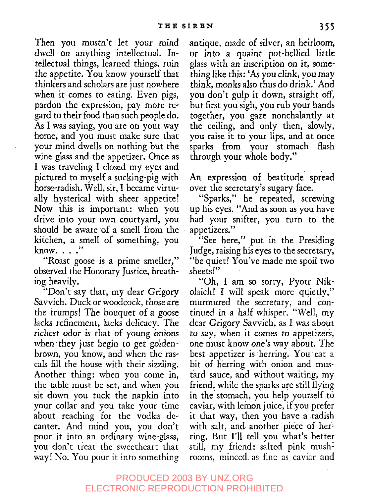Then you mustn't let your mind dwell on anything intellectual. Intellectual things, learned things, ruin the appetite. You know yourself that thinkers and scholars are just nowhere when it comes to eating. Even pigs, pardon the expression, pay more regard to their food than such people do. As I was saying, you are on your way home, and you must make sure that your mind dwells on nothing but the wine glass and the appetizer. Once as I was traveling I closed my eyes and pictured to myself a sucking-pig with horse-radish. Well, sir, I became virtually hysterical with sheer appetite! Now this is important: when you drive into your own courtyard, you should be aware of a smell from the.. kitchen, a smell of something, you know. . . ."

"Roast goose is a prime smeller," observed the Honorary Justice, breathing heavily.

"Don't say that, my dear Grigory Savvich. Duck or woodcock, those are the trumps! The bouquet of a goose lacks refinement, lacks delicacy. The richest odor is that of young onions when:they just begin to get goldenbrown, you know, and when the rascals fill the house with their sizzling. Another thing: when you come in, the table must be set, and when you sit down you tuck the napkin into your collar and you take your time about reaching for the vodka decanter. And mind you, you don't pour it into an ordinary wine-glass, you don't treat the sweetheart that way! No. You pour it into something

antique, made of silver, an heirloom, or into a quaint pot-bellied little glass with an inscription on it, something like this: 'As you clink, you may think, monks also thus do drink.' And you don't gulp it down, straight off, but first you sigh, you rub your hands together, you gaze nonchalantly at the ceiling, and only then, slowly, you raise it to your lips, and at once sparks from your stomach flash through your whole body."

An expression of beatitude spread over the secretary's sugary face.

"Sparks," he repeated, screwing up his eyes. "And as soon as you have had your snifter, you turn to the appetizers."

"See here," put in the Presiding Judge, raising his eyes to the secretary, "be quiet! You've made me spoil two sheetsl"

"Oh, I am so sorry, Pyotr Nikolaich! I will speak more quietly," murmured the secretary, and continued in a half whisper. "Well, my dear Grigory Savvich, as I was about to say, when it comes to appetizers, one must know One's way about. The best appetizer is herring. You eat a bit of herring with onion and mustard sauce, and without waiting, my friend, while the sparks are still flying in the stomach, you help yourself to caviar, with lemon juice, if.you prefer it that way, then you have a radish with salt, and another piece of herring. But I'll tell you what's better still, my friend: salted pink mush: robms, minced, as fine as caviar and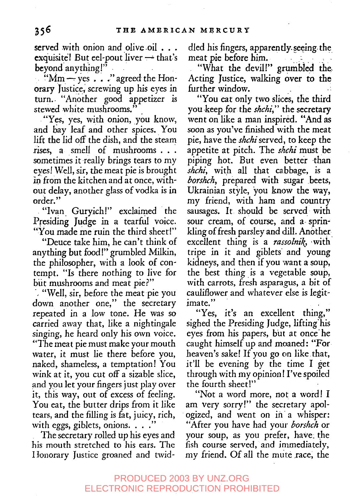served with onion and olive oil . . . exquisitel But eel-pout liver  $-$  that's beyond anything!"

. " $Mm$  — yes  $\ldots$ " agreed the Honorary Justice, screwing up his eyes in turn.-"Another good appetizer is stewed white mushrooms."

"Yes, yes, with onion, you know, and bay leaf and other spices.¯ You lift the lid off the dish, and the steam  $rises.$  a smell of mushrooms... sometimes it really brings tears to my eyes! Well, sir, the meat pie is brought in from the kitChen and at once, without delay, another glass of vodka is in order."

. "Ivan. Guryich!" exclaimed the Presiding Judge in a tearful voice. "You made me ruin the third sheet!"

"Deuce take him, he can't think of anything but food!" grumbled Milkin, the philosopher, with a look of contempt. "Is there nothing to live for but mushrooms and meat pie?"

" "Well, sir, before the meat pie you down another one," the secretary repeated in a low tone. He was so carried away that, like a nightingale singing, he heard only his own voice. "The meat pie must make your mouth water, it must lie there before you, naked, shameless, a temptation! You wink at it, you cut off a sizable slice, and ygu let your fingers just play over it, this way, out of excess of feeling, You eat, the butter drips from it like tears, and the filling is fat, juicy, rich, with eggs, giblets, onions.  $\ldots$  "

The secretary rolled up his eyes and his mouth stretched to his ears. The I Ionorary Justice groaned and twiddled his fingers, apparently seeing the meat pie before him.

"What the devil!" grumbled the. Acting Justice, walking over to the further window.

"You eat only two slices, the third you.keep for the *shchi,"* the secretary went on like a man inspired. "And as soon as you've finished with the meat pie, have the *shchi* served, to keep the appetite at pitch. The *shchi* must be piping hot. But even better than *shchi,* with all that cabbage, is a *borshch*, prepared with sugar beets, Ukrainian style, you know the way, my friend, with ham and country sausages. It should be served with sour cream, of course, and a sprinkling of fresh parsley and dill. Another excellent thing is a *rassolnik*, with tripe in it and giblets and young kidneys, and then if you want a soup, the best thing.is a vegetable soup, with carrots, fresh asparagus, a bit of cauliflower and whatever else is legitimate."

"Yes, it's an excellent thing," sighed the Presiding Judge, lifting his eyes from his papers, but at once he caught himself up and moaned: "For heaven's sake! If you go on like.that, it'll be evening by the time I get through with my opinion! I've spoiled the fourth sheet!"

"Not a word more, not a word! I am very sorry!" the secretary apologized, and went on in a whisper: "After you have had you/" *borshch* or your soup, as you prefer, have: the fish course served, and immediately, my friend. Of all the mute race, the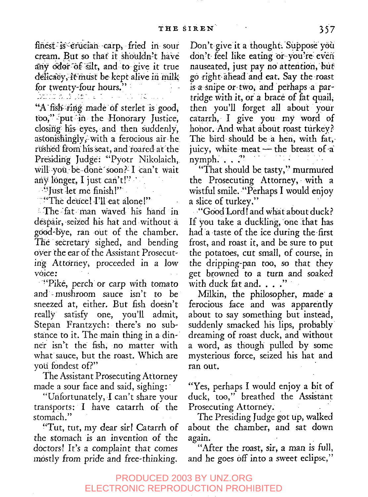finest is erucian carp, fried in sour cream. But so that it shouldn't have any odor of silt, and to give it true delicacy, it must be kept alive in milk for twenty-four hours."

د المال 1,500 م/2005 من الملاحم

"A fish ring made of sterlet is good, too," put in the Honorary Justice, closing his eyes, and then suddenly, astonishingly, with a ferocious air he rushed from his seat, and roared at the Presiding Judge: "Pyotr Nikolaich, will you be done soon? I can't wait any longer, I just can't!"

<sup>34</sup> Just let me finish!"

""The deuce! I'll eat alone!"

fifthe fat man waved his hand in déspair, seized his hat and without a good-bye, ran out of the chamber. The secretary sighed, and bending over the ear of the Assistant Prosecuting Attorney, proceeded in a low voice:

"Pike, perch or carp with tomato and mushroom sauce isn't to be sneezed at, either. But fish doesn't really satisfy one, you'll admit, Stepan Frantzych: there's no substance to it. The main thing in a dinner isn't the fish, no matter with what sauce, but the roast. Which are you fondest of?"

The Assistant Prosecuting Attorney made a sour face and said, sighing:

"Unfortunately, I can't share your transports: I have catarrh of the stomach."

"Tut, tut, my dear sir! Catarrh of the stomach is an invention of the doctors! It's a complaint that comes mostly from pride and free-thinking.

Don't give it a thought. Suppose you don't feel like eating or you're even nauseated, just pay no attention, but go right ahead and eat. Say the roast is a snipe or two, and perhaps a partridge with it, or a brace of fat quail, then you'll forget all about your catarrh, I give you my word of honor. And what about roast turkey? The bird should be a hen, with fat, juicy, white meat - the breast of a nymph.  $\ldots$  ."

"That should be tasty," murmured the Prosecuting Attorney, with a wistful smile. "Perhaps I would enjoy a slice of turkey."

"Good Lord! and what about duck? If you take a duckling, one that has had a taste of the ice during the first frost, and roast it, and be sure to put the potatoes, cut small, of course, in the dripping-pan too, so that they get browned to a turn and soaked with duck fat and.  $\dots$  ."

Milkin, the philosopher, made a ferocious face and was apparently about to say something but instead, suddenly smacked his lips, probably dreaming of roast duck, and without a word, as though pulled by some mysterious force, seized his hat and ran out.

"Yes, perhaps I would enjoy a bit of duck, too," breathed the Assistant Prosecuting Attorney.

The Presiding Judge got up, walked about the chamber, and sat down again.

"After the roast, sir, a man is full, and he goes off into a sweet eclipse,"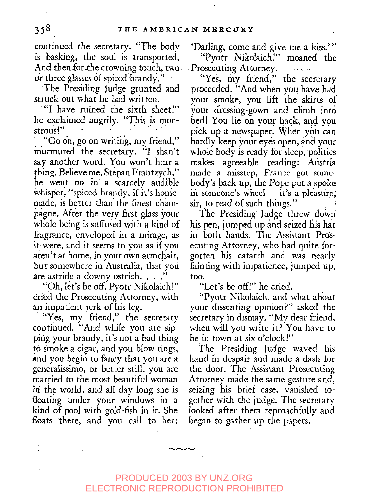continued the secretary. "The body is basking, the soul is transported. And then for the crowning touch, two. or three glasses of spiced brandy."

The Presiding Judge grunted and struck out what he had written.

""I have ruined the sixth *sheet!"* he exclaimed angrily:. "This is monstrous!"

"Go on, go on writing, my friend," murmured the secretary. "I shan't say another word. You won't hear a thing, Believe me, Stepan Frantzych," he went on in a scarcely audible whisper, "spiced brandy, if it's homemade, is better than the finest champagne. After the very first glass your whole being is suffused with a kind of whole being is surfased with a sind of it were, and it seems to you as if you aren't at home, in your own armchair, but somewhere in Australia, that you are astride a downy ostrich. . . .

"Oh, let's be off, Pyotr Nikolaich!" cried the Prosecuting Attorney, with an' impatient jerk of his leg.

~ "Yes, my friend," the secretary continued. "And while you are sipping your brandy, it's not a bad thing to smoke a cigar, and you blow rings, and you begin to fancy that you are a generalissimo, or better still, you are married to the most beautiful woman in the world, and all day long she is floating under your windows in a kind of pool with gold-fish in it. She floats there, and you call to her:

'Darling, come and give me a kiss.'"

"Pyotr Nikolaich!" moaned the Prosecuting Attorney.  $\omega_{\rm{max}}$  , we can also

"Yes, my friend," the secretary proceeded. "And when you have had your smoke, you lift the skirts your dressing-gown and climb into bed! You lie on your back, and you pick up a newspaper. When you can hardly keep your eyes open, and your, whole body is ready for sleep, politics makes agreeable reading: Austria. made a misstep, France got somebody's back up, the Pope put aspoke in someone's wheel  $-$  it's a pleasure, sir, to read of such things."

The Presiding Judge threw down his pen, jumped up and seized his hat in both hands. The Assistant Prosecuting Attorney, who had quite forgotten his catarrh and. was nearly fainting with impatience, jumped up, too.

"Let's be off!" he cried.

"Pyotr Nikolaich, and what about your dissenting opinion?" asked the secretary in dismay. "My dear friend, when will you write it? You have to be in town at six o'clock!"

The Presiding Judge waved his hand in despair and made a dash for the door. The Assistant Prosecuting Attorney made the same gesture and, seizing his brief case, vanished together with the judge. The secretary looked after them reproachfully and began to gather up the papers.